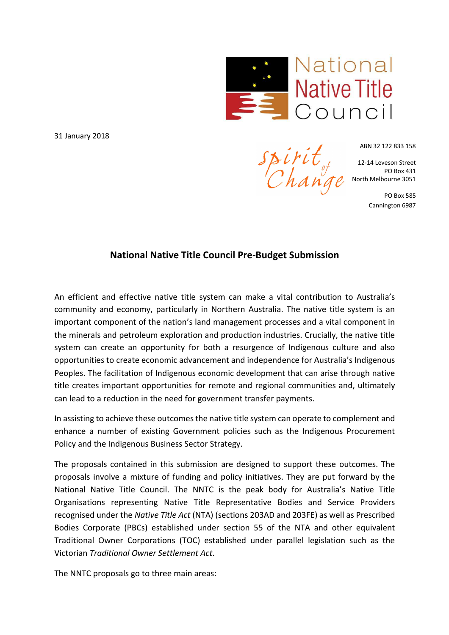

spirit<sub>ot</sub><br>Change

31 January 2018

ABN 32 122 833 158

12-14 Leveson Street PO Box 431 North Melbourne 3051

> PO Box 585 Cannington 6987

# **National Native Title Council Pre-Budget Submission**

An efficient and effective native title system can make a vital contribution to Australia's community and economy, particularly in Northern Australia. The native title system is an important component of the nation's land management processes and a vital component in the minerals and petroleum exploration and production industries. Crucially, the native title system can create an opportunity for both a resurgence of Indigenous culture and also opportunities to create economic advancement and independence for Australia's Indigenous Peoples. The facilitation of Indigenous economic development that can arise through native title creates important opportunities for remote and regional communities and, ultimately can lead to a reduction in the need for government transfer payments.

In assisting to achieve these outcomes the native title system can operate to complement and enhance a number of existing Government policies such as the Indigenous Procurement Policy and the Indigenous Business Sector Strategy.

The proposals contained in this submission are designed to support these outcomes. The proposals involve a mixture of funding and policy initiatives. They are put forward by the National Native Title Council. The NNTC is the peak body for Australia's Native Title Organisations representing Native Title Representative Bodies and Service Providers recognised under the *Native Title Act* (NTA) (sections 203AD and 203FE) as well as Prescribed Bodies Corporate (PBCs) established under section 55 of the NTA and other equivalent Traditional Owner Corporations (TOC) established under parallel legislation such as the Victorian *Traditional Owner Settlement Act*.

The NNTC proposals go to three main areas: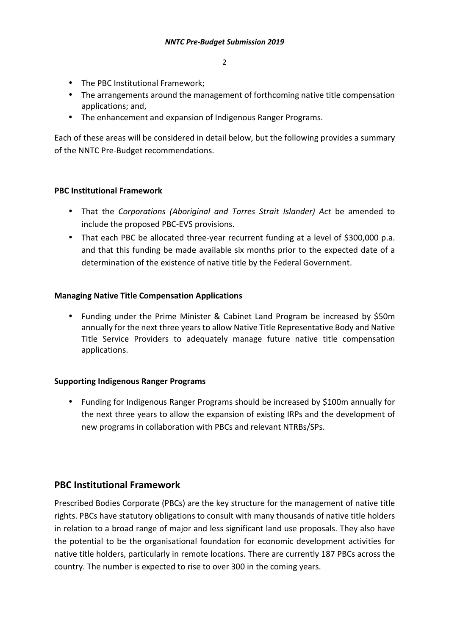- The PBC Institutional Framework;
- The arrangements around the management of forthcoming native title compensation applications; and,
- The enhancement and expansion of Indigenous Ranger Programs.

Each of these areas will be considered in detail below, but the following provides a summary of the NNTC Pre-Budget recommendations.

## **PBC Institutional Framework**

- That the *Corporations (Aboriginal and Torres Strait Islander) Act* be amended to include the proposed PBC-EVS provisions.
- That each PBC be allocated three-year recurrent funding at a level of \$300,000 p.a. and that this funding be made available six months prior to the expected date of a determination of the existence of native title by the Federal Government.

## **Managing Native Title Compensation Applications**

• Funding under the Prime Minister & Cabinet Land Program be increased by \$50m annually for the next three years to allow Native Title Representative Body and Native Title Service Providers to adequately manage future native title compensation applications.

#### **Supporting Indigenous Ranger Programs**

• Funding for Indigenous Ranger Programs should be increased by \$100m annually for the next three years to allow the expansion of existing IRPs and the development of new programs in collaboration with PBCs and relevant NTRBs/SPs.

# **PBC Institutional Framework**

Prescribed Bodies Corporate (PBCs) are the key structure for the management of native title rights. PBCs have statutory obligations to consult with many thousands of native title holders in relation to a broad range of major and less significant land use proposals. They also have the potential to be the organisational foundation for economic development activities for native title holders, particularly in remote locations. There are currently 187 PBCs across the country. The number is expected to rise to over 300 in the coming years.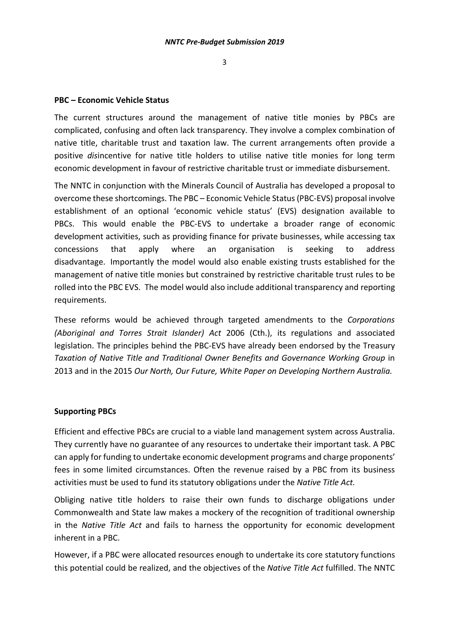#### **PBC – Economic Vehicle Status**

The current structures around the management of native title monies by PBCs are complicated, confusing and often lack transparency. They involve a complex combination of native title, charitable trust and taxation law. The current arrangements often provide a positive *dis*incentive for native title holders to utilise native title monies for long term economic development in favour of restrictive charitable trust or immediate disbursement.

The NNTC in conjunction with the Minerals Council of Australia has developed a proposal to overcome these shortcomings. The PBC – Economic Vehicle Status (PBC-EVS) proposal involve establishment of an optional 'economic vehicle status' (EVS) designation available to PBCs. This would enable the PBC-EVS to undertake a broader range of economic development activities, such as providing finance for private businesses, while accessing tax concessions that apply where an organisation is seeking to address disadvantage. Importantly the model would also enable existing trusts established for the management of native title monies but constrained by restrictive charitable trust rules to be rolled into the PBC EVS. The model would also include additional transparency and reporting requirements.

These reforms would be achieved through targeted amendments to the *Corporations (Aboriginal and Torres Strait Islander) Act* 2006 (Cth.), its regulations and associated legislation. The principles behind the PBC-EVS have already been endorsed by the Treasury *Taxation of Native Title and Traditional Owner Benefits and Governance Working Group* in 2013 and in the 2015 *Our North, Our Future, White Paper on Developing Northern Australia.*

#### **Supporting PBCs**

Efficient and effective PBCs are crucial to a viable land management system across Australia. They currently have no guarantee of any resources to undertake their important task. A PBC can apply for funding to undertake economic development programs and charge proponents' fees in some limited circumstances. Often the revenue raised by a PBC from its business activities must be used to fund its statutory obligations under the *Native Title Act.* 

Obliging native title holders to raise their own funds to discharge obligations under Commonwealth and State law makes a mockery of the recognition of traditional ownership in the *Native Title Act* and fails to harness the opportunity for economic development inherent in a PBC.

However, if a PBC were allocated resources enough to undertake its core statutory functions this potential could be realized, and the objectives of the *Native Title Act* fulfilled. The NNTC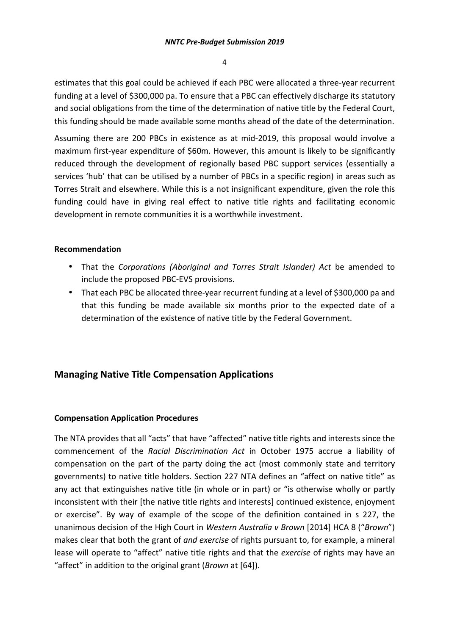estimates that this goal could be achieved if each PBC were allocated a three-year recurrent funding at a level of \$300,000 pa. To ensure that a PBC can effectively discharge its statutory and social obligations from the time of the determination of native title by the Federal Court, this funding should be made available some months ahead of the date of the determination.

Assuming there are 200 PBCs in existence as at mid-2019, this proposal would involve a maximum first-year expenditure of \$60m. However, this amount is likely to be significantly reduced through the development of regionally based PBC support services (essentially a services 'hub' that can be utilised by a number of PBCs in a specific region) in areas such as Torres Strait and elsewhere. While this is a not insignificant expenditure, given the role this funding could have in giving real effect to native title rights and facilitating economic development in remote communities it is a worthwhile investment.

#### **Recommendation**

- That the *Corporations (Aboriginal and Torres Strait Islander) Act* be amended to include the proposed PBC-EVS provisions.
- That each PBC be allocated three-year recurrent funding at a level of \$300,000 pa and that this funding be made available six months prior to the expected date of a determination of the existence of native title by the Federal Government.

## **Managing Native Title Compensation Applications**

#### **Compensation Application Procedures**

The NTA provides that all "acts" that have "affected" native title rights and interests since the commencement of the *Racial Discrimination Act* in October 1975 accrue a liability of compensation on the part of the party doing the act (most commonly state and territory governments) to native title holders. Section 227 NTA defines an "affect on native title" as any act that extinguishes native title (in whole or in part) or "is otherwise wholly or partly inconsistent with their [the native title rights and interests] continued existence, enjoyment or exercise". By way of example of the scope of the definition contained in s 227, the unanimous decision of the High Court in *Western Australia v Brown* [2014] HCA 8 ("*Brown*") makes clear that both the grant of *and exercise* of rights pursuant to, for example, a mineral lease will operate to "affect" native title rights and that the *exercise* of rights may have an "affect" in addition to the original grant (*Brown* at [64]).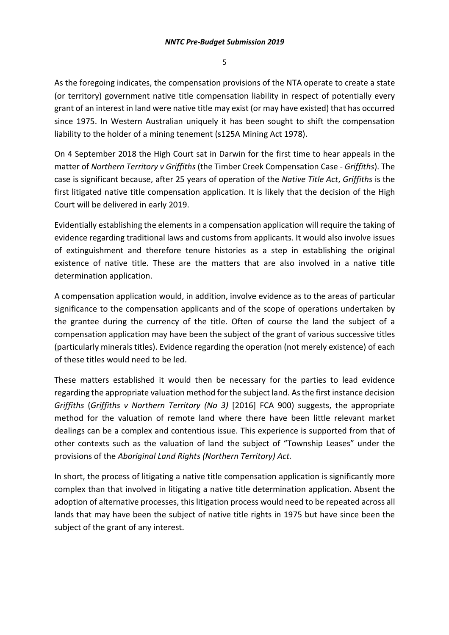As the foregoing indicates, the compensation provisions of the NTA operate to create a state (or territory) government native title compensation liability in respect of potentially every grant of an interest in land were native title may exist (or may have existed) that has occurred since 1975. In Western Australian uniquely it has been sought to shift the compensation liability to the holder of a mining tenement (s125A Mining Act 1978).

On 4 September 2018 the High Court sat in Darwin for the first time to hear appeals in the matter of *Northern Territory v Griffiths* (the Timber Creek Compensation Case - *Griffiths*). The case is significant because, after 25 years of operation of the *Native Title Act*, *Griffiths* is the first litigated native title compensation application. It is likely that the decision of the High Court will be delivered in early 2019.

Evidentially establishing the elements in a compensation application will require the taking of evidence regarding traditional laws and customs from applicants. It would also involve issues of extinguishment and therefore tenure histories as a step in establishing the original existence of native title. These are the matters that are also involved in a native title determination application.

A compensation application would, in addition, involve evidence as to the areas of particular significance to the compensation applicants and of the scope of operations undertaken by the grantee during the currency of the title. Often of course the land the subject of a compensation application may have been the subject of the grant of various successive titles (particularly minerals titles). Evidence regarding the operation (not merely existence) of each of these titles would need to be led.

These matters established it would then be necessary for the parties to lead evidence regarding the appropriate valuation method for the subject land. As the first instance decision *Griffiths* (*Griffiths v Northern Territory (No 3)* [2016] FCA 900) suggests, the appropriate method for the valuation of remote land where there have been little relevant market dealings can be a complex and contentious issue. This experience is supported from that of other contexts such as the valuation of land the subject of "Township Leases" under the provisions of the *Aboriginal Land Rights (Northern Territory) Act.* 

In short, the process of litigating a native title compensation application is significantly more complex than that involved in litigating a native title determination application. Absent the adoption of alternative processes, this litigation process would need to be repeated across all lands that may have been the subject of native title rights in 1975 but have since been the subject of the grant of any interest.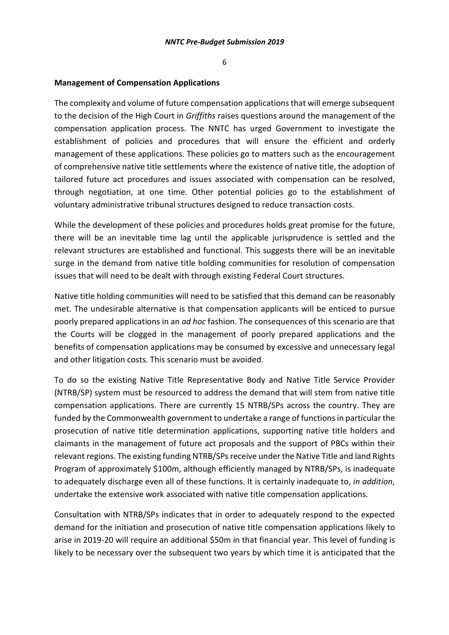#### **Management of Compensation Applications**

The complexity and volume of future compensation applications that will emerge subsequent to the decision of the High Court in *Griffiths* raises questions around the management of the compensation application process. The NNTC has urged Government to investigate the establishment of policies and procedures that will ensure the efficient and orderly management of these applications. These policies go to matters such as the encouragement of comprehensive native title settlements where the existence of native title, the adoption of tailored future act procedures and issues associated with compensation can be resolved, through negotiation, at one time. Other potential policies go to the establishment of voluntary administrative tribunal structures designed to reduce transaction costs.

While the development of these policies and procedures holds great promise for the future, there will be an inevitable time lag until the applicable jurisprudence is settled and the relevant structures are established and functional. This suggests there will be an inevitable surge in the demand from native title holding communities for resolution of compensation issues that will need to be dealt with through existing Federal Court structures.

Native title holding communities will need to be satisfied that this demand can be reasonably met. The undesirable alternative is that compensation applicants will be enticed to pursue poorly prepared applications in an *ad hoc* fashion. The consequences of this scenario are that the Courts will be clogged in the management of poorly prepared applications and the benefits of compensation applications may be consumed by excessive and unnecessary legal and other litigation costs. This scenario must be avoided.

To do so the existing Native Title Representative Body and Native Title Service Provider (NTRB/SP) system must be resourced to address the demand that will stem from native title compensation applications. There are currently 15 NTRB/SPs across the country. They are funded by the Commonwealth government to undertake a range of functions in particular the prosecution of native title determination applications, supporting native title holders and claimants in the management of future act proposals and the support of PBCs within their relevant regions. The existing funding NTRB/SPs receive under the Native Title and land Rights Program of approximately \$100m, although efficiently managed by NTRB/SPs, is inadequate to adequately discharge even all of these functions. It is certainly inadequate to, *in addition*, undertake the extensive work associated with native title compensation applications.

Consultation with NTRB/SPs indicates that in order to adequately respond to the expected demand for the initiation and prosecution of native title compensation applications likely to arise in 2019-20 will require an additional \$50m in that financial year. This level of funding is likely to be necessary over the subsequent two years by which time it is anticipated that the

6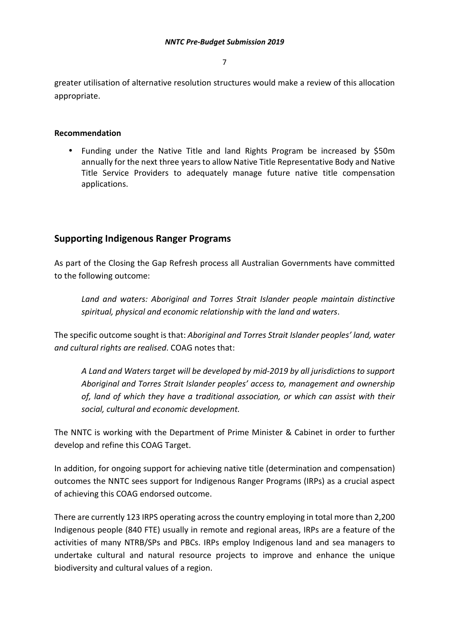greater utilisation of alternative resolution structures would make a review of this allocation appropriate.

#### **Recommendation**

• Funding under the Native Title and land Rights Program be increased by \$50m annually for the next three years to allow Native Title Representative Body and Native Title Service Providers to adequately manage future native title compensation applications.

# **Supporting Indigenous Ranger Programs**

As part of the Closing the Gap Refresh process all Australian Governments have committed to the following outcome:

*Land and waters: Aboriginal and Torres Strait Islander people maintain distinctive spiritual, physical and economic relationship with the land and waters*.

The specific outcome sought is that: *Aboriginal and Torres Strait Islander peoples' land, water and cultural rights are realised*. COAG notes that:

*A Land and Waters target will be developed by mid-2019 by all jurisdictions to support Aboriginal and Torres Strait Islander peoples' access to, management and ownership of, land of which they have a traditional association, or which can assist with their social, cultural and economic development.* 

The NNTC is working with the Department of Prime Minister & Cabinet in order to further develop and refine this COAG Target.

In addition, for ongoing support for achieving native title (determination and compensation) outcomes the NNTC sees support for Indigenous Ranger Programs (IRPs) as a crucial aspect of achieving this COAG endorsed outcome.

There are currently 123 IRPS operating across the country employing in total more than 2,200 Indigenous people (840 FTE) usually in remote and regional areas, IRPs are a feature of the activities of many NTRB/SPs and PBCs. IRPs employ Indigenous land and sea managers to undertake cultural and natural resource projects to improve and enhance the unique biodiversity and cultural values of a region.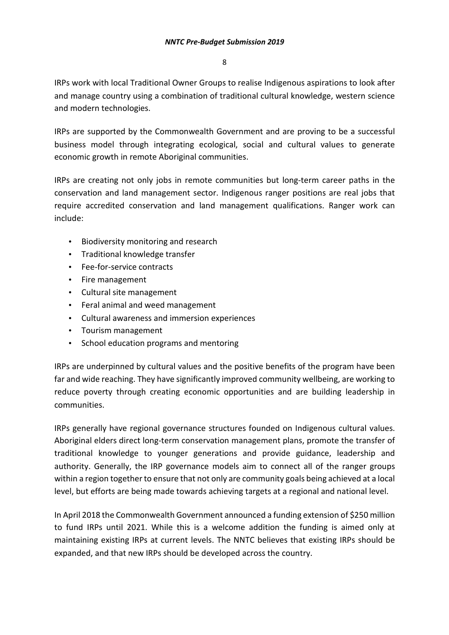IRPs work with local Traditional Owner Groups to realise Indigenous aspirations to look after and manage country using a combination of traditional cultural knowledge, western science and modern technologies.

IRPs are supported by the Commonwealth Government and are proving to be a successful business model through integrating ecological, social and cultural values to generate economic growth in remote Aboriginal communities.

IRPs are creating not only jobs in remote communities but long-term career paths in the conservation and land management sector. Indigenous ranger positions are real jobs that require accredited conservation and land management qualifications. Ranger work can include:

- Biodiversity monitoring and research
- Traditional knowledge transfer
- Fee-for-service contracts
- Fire management
- Cultural site management
- Feral animal and weed management
- Cultural awareness and immersion experiences
- Tourism management
- School education programs and mentoring

IRPs are underpinned by cultural values and the positive benefits of the program have been far and wide reaching. They have significantly improved community wellbeing, are working to reduce poverty through creating economic opportunities and are building leadership in communities.

IRPs generally have regional governance structures founded on Indigenous cultural values. Aboriginal elders direct long-term conservation management plans, promote the transfer of traditional knowledge to younger generations and provide guidance, leadership and authority. Generally, the IRP governance models aim to connect all of the ranger groups within a region together to ensure that not only are community goals being achieved at a local level, but efforts are being made towards achieving targets at a regional and national level.

In April 2018 the Commonwealth Government announced a funding extension of \$250 million to fund IRPs until 2021. While this is a welcome addition the funding is aimed only at maintaining existing IRPs at current levels. The NNTC believes that existing IRPs should be expanded, and that new IRPs should be developed across the country.